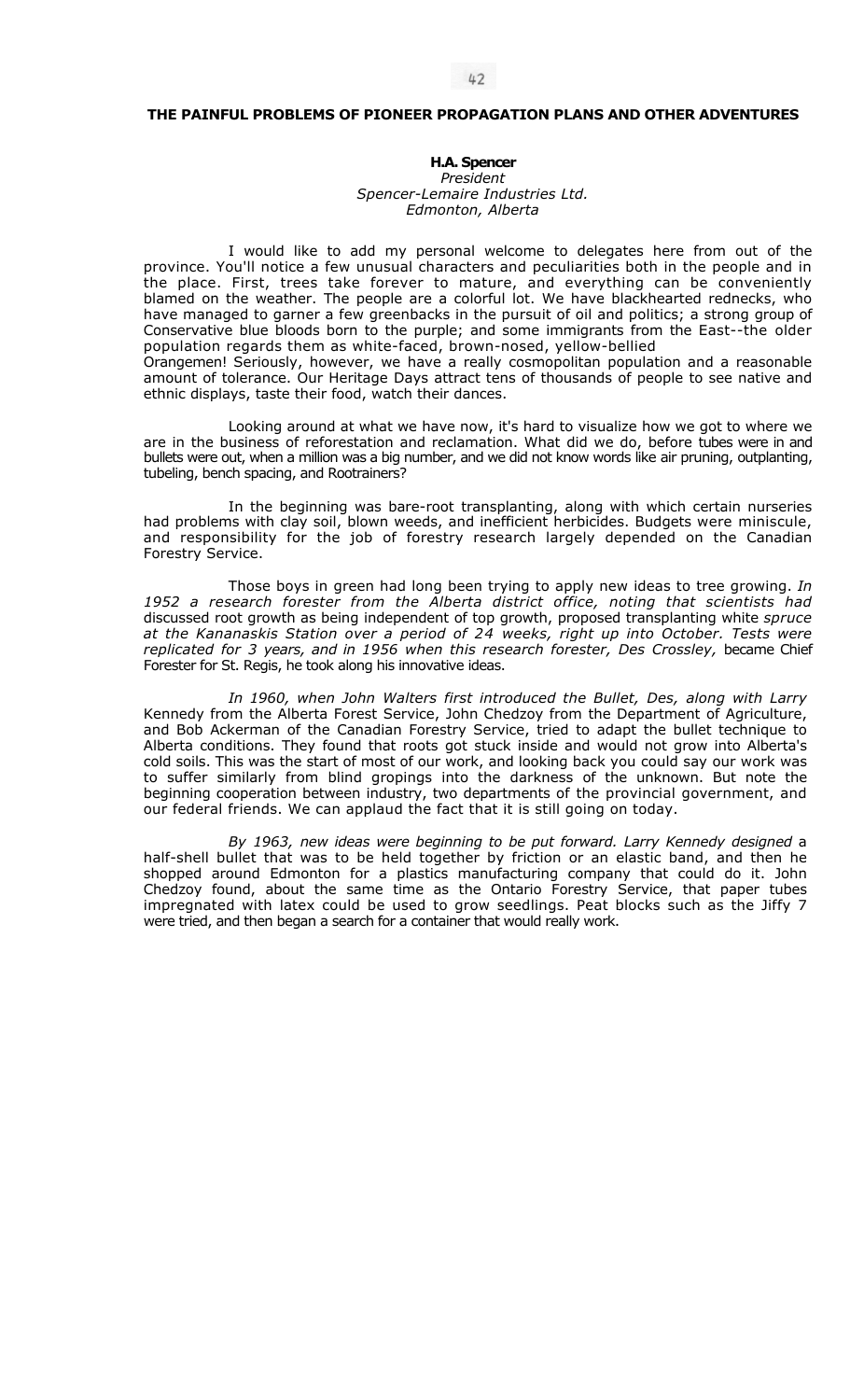## **THE PAINFUL PROBLEMS OF PIONEER PROPAGATION PLANS AND OTHER ADVENTURES**

## **H.A. Spencer**

*President Spencer-Lemaire Industries Ltd. Edmonton, Alberta* 

I would like to add my personal welcome to delegates here from out of the province. You'll notice a few unusual characters and peculiarities both in the people and in the place. First, trees take forever to mature, and everything can be conveniently blamed on the weather. The people are a colorful lot. We have blackhearted rednecks, who have managed to garner a few greenbacks in the pursuit of oil and politics; a strong group of Conservative blue bloods born to the purple; and some immigrants from the East--the older population regards them as white-faced, brown-nosed, yellow-bellied Orangemen! Seriously, however, we have a really cosmopolitan population and a reasonable

amount of tolerance. Our Heritage Days attract tens of thousands of people to see native and ethnic displays, taste their food, watch their dances.

Looking around at what we have now, it's hard to visualize how we got to where we are in the business of reforestation and reclamation. What did we do, before tubes were in and bullets were out, when a million was a big number, and we did not know words like air pruning, outplanting, tubeling, bench spacing, and Rootrainers?

In the beginning was bare-root transplanting, along with which certain nurseries had problems with clay soil, blown weeds, and inefficient herbicides. Budgets were miniscule, and responsibility for the job of forestry research largely depended on the Canadian Forestry Service.

Those boys in green had long been trying to apply new ideas to tree growing. *In 1952 a research forester from the Alberta district office, noting that scientists had*  discussed root growth as being independent of top growth, proposed transplanting white *spruce at the Kananaskis Station over a period of 24 weeks, right up into October. Tests were*  replicated for 3 years, and in 1956 when this research forester, Des Crossley, became Chief Forester for St. Regis, he took along his innovative ideas.

*In 1960, when John Walters first introduced the Bullet, Des, along with Larry*  Kennedy from the Alberta Forest Service, John Chedzoy from the Department of Agriculture, and Bob Ackerman of the Canadian Forestry Service, tried to adapt the bullet technique to Alberta conditions. They found that roots got stuck inside and would not grow into Alberta's cold soils. This was the start of most of our work, and looking back you could say our work was to suffer similarly from blind gropings into the darkness of the unknown. But note the beginning cooperation between industry, two departments of the provincial government, and our federal friends. We can applaud the fact that it is still going on today.

*By 1963, new ideas were beginning to be put forward. Larry Kennedy designed* a half-shell bullet that was to be held together by friction or an elastic band, and then he shopped around Edmonton for a plastics manufacturing company that could do it. John Chedzoy found, about the same time as the Ontario Forestry Service, that paper tubes impregnated with latex could be used to grow seedlings. Peat blocks such as the Jiffy 7 were tried, and then began a search for a container that would really work.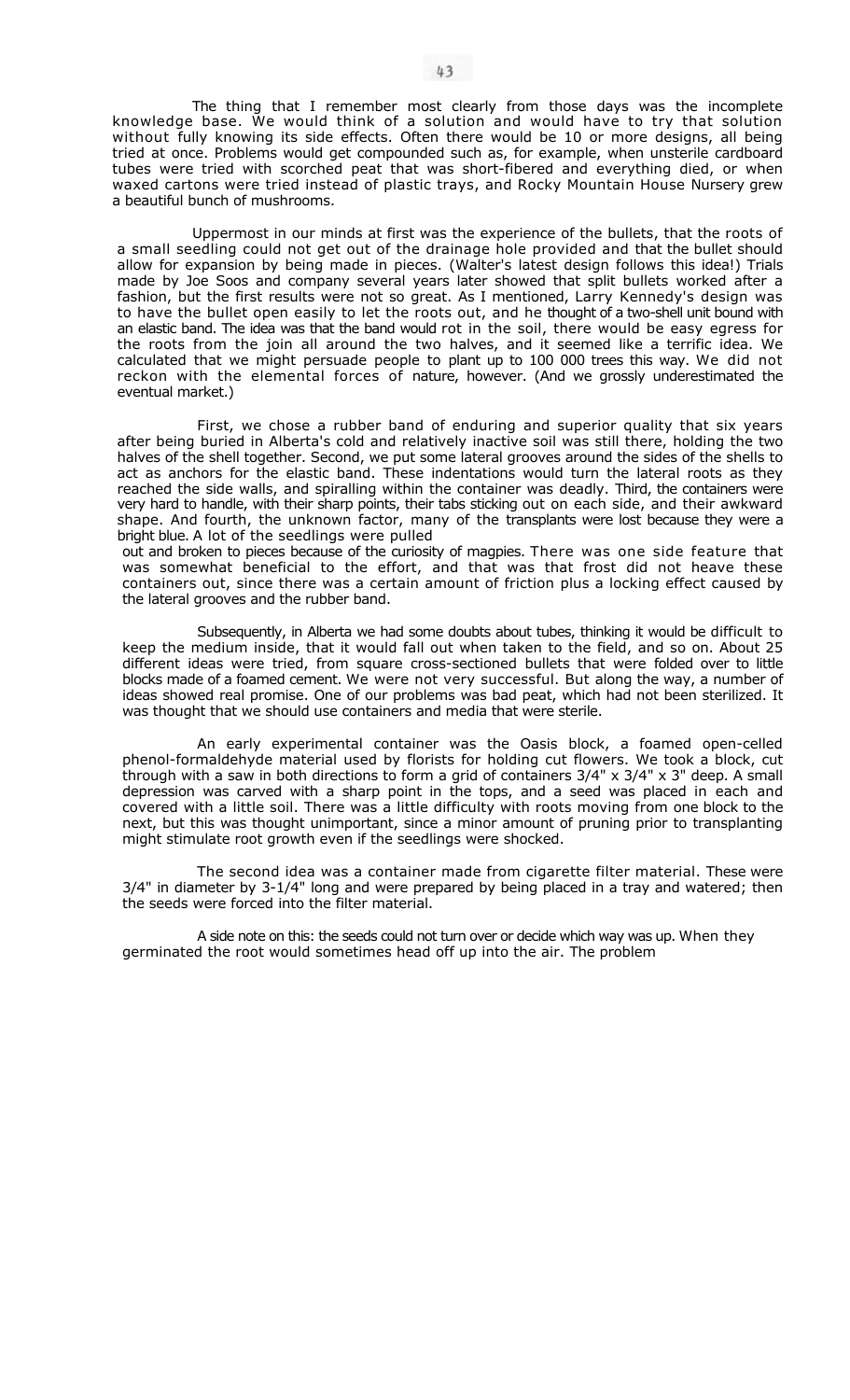The thing that I remember most clearly from those days was the incomplete knowledge base. We would think of a solution and would have to try that solution without fully knowing its side effects. Often there would be 10 or more designs, all being tried at once. Problems would get compounded such as, for example, when unsterile cardboard tubes were tried with scorched peat that was short-fibered and everything died, or when waxed cartons were tried instead of plastic trays, and Rocky Mountain House Nursery grew a beautiful bunch of mushrooms.

Uppermost in our minds at first was the experience of the bullets, that the roots of a small seedling could not get out of the drainage hole provided and that the bullet should allow for expansion by being made in pieces. (Walter's latest design follows this idea!) Trials made by Joe Soos and company several years later showed that split bullets worked after a fashion, but the first results were not so great. As I mentioned, Larry Kennedy's design was to have the bullet open easily to let the roots out, and he thought of a two-shell unit bound with an elastic band. The idea was that the band would rot in the soil, there would be easy egress for the roots from the join all around the two halves, and it seemed like a terrific idea. We calculated that we might persuade people to plant up to 100 000 trees this way. We did not reckon with the elemental forces of nature, however. (And we grossly underestimated the eventual market.)

First, we chose a rubber band of enduring and superior quality that six years after being buried in Alberta's cold and relatively inactive soil was still there, holding the two halves of the shell together. Second, we put some lateral grooves around the sides of the shells to act as anchors for the elastic band. These indentations would turn the lateral roots as they reached the side walls, and spiralling within the container was deadly. Third, the containers were very hard to handle, with their sharp points, their tabs sticking out on each side, and their awkward shape. And fourth, the unknown factor, many of the transplants were lost because they were a bright blue. A lot of the seedlings were pulled

out and broken to pieces because of the curiosity of magpies. There was one side feature that was somewhat beneficial to the effort, and that was that frost did not heave these containers out, since there was a certain amount of friction plus a locking effect caused by the lateral grooves and the rubber band.

Subsequently, in Alberta we had some doubts about tubes, thinking it would be difficult to keep the medium inside, that it would fall out when taken to the field, and so on. About 25 different ideas were tried, from square cross-sectioned bullets that were folded over to little blocks made of a foamed cement. We were not very successful. But along the way, a number of ideas showed real promise. One of our problems was bad peat, which had not been sterilized. It was thought that we should use containers and media that were sterile.

An early experimental container was the Oasis block, a foamed open-celled phenol-formaldehyde material used by florists for holding cut flowers. We took a block, cut through with a saw in both directions to form a grid of containers 3/4" x 3/4" x 3" deep. A small depression was carved with a sharp point in the tops, and a seed was placed in each and covered with a little soil. There was a little difficulty with roots moving from one block to the next, but this was thought unimportant, since a minor amount of pruning prior to transplanting might stimulate root growth even if the seedlings were shocked.

The second idea was a container made from cigarette filter material. These were 3/4" in diameter by 3-1/4" long and were prepared by being placed in a tray and watered; then the seeds were forced into the filter material.

A side note on this: the seeds could not turn over or decide which way was up. When they germinated the root would sometimes head off up into the air. The problem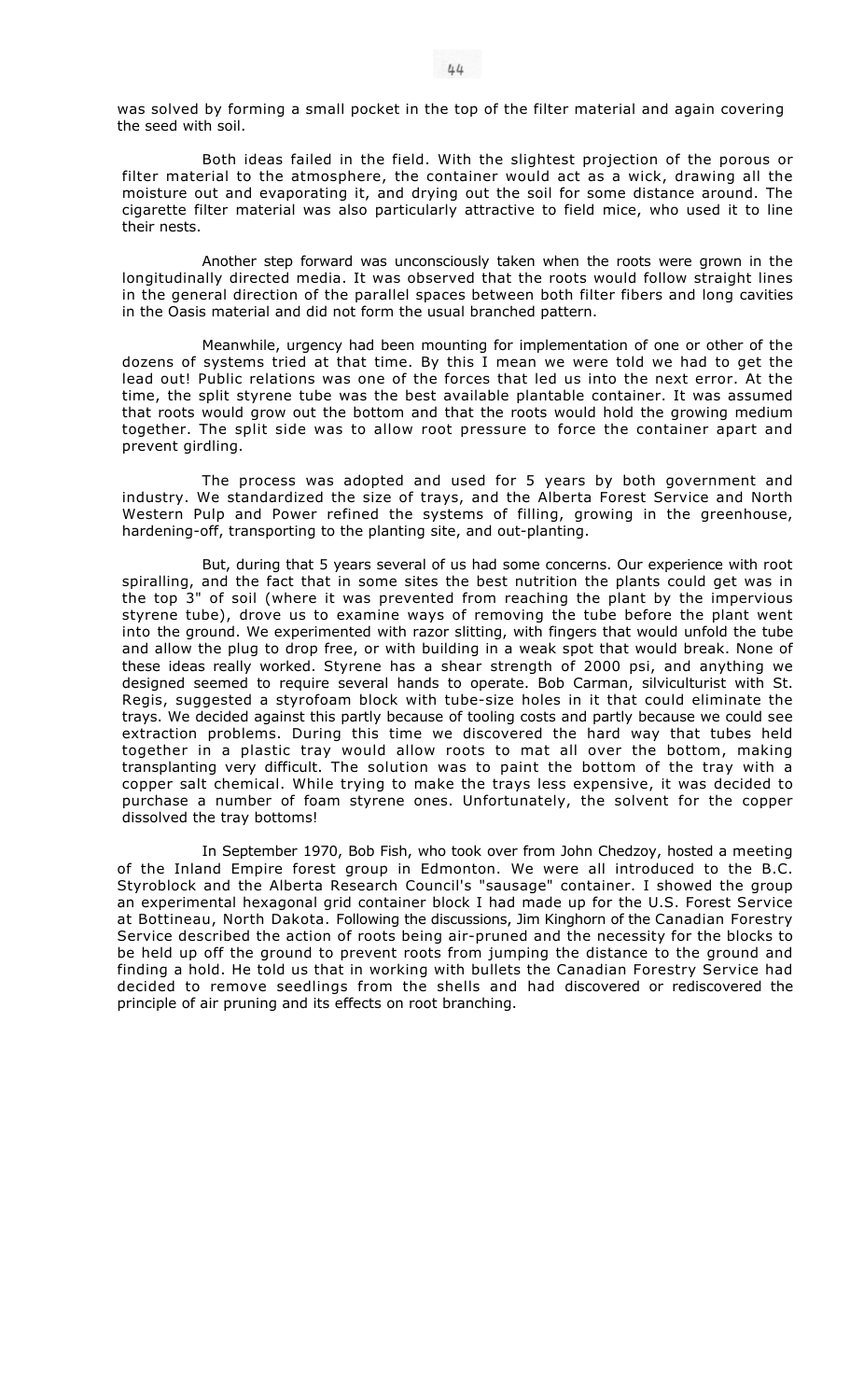was solved by forming a small pocket in the top of the filter material and again covering the seed with soil.

Both ideas failed in the field. With the slightest projection of the porous or filter material to the atmosphere, the container would act as a wick, drawing all the moisture out and evaporating it, and drying out the soil for some distance around. The cigarette filter material was also particularly attractive to field mice, who used it to line their nests.

Another step forward was unconsciously taken when the roots were grown in the longitudinally directed media. It was observed that the roots would follow straight lines in the general direction of the parallel spaces between both filter fibers and long cavities in the Oasis material and did not form the usual branched pattern.

Meanwhile, urgency had been mounting for implementation of one or other of the dozens of systems tried at that time. By this I mean we were told we had to get the lead out! Public relations was one of the forces that led us into the next error. At the time, the split styrene tube was the best available plantable container. It was assumed that roots would grow out the bottom and that the roots would hold the growing medium together. The split side was to allow root pressure to force the container apart and prevent girdling.

The process was adopted and used for 5 years by both government and industry. We standardized the size of trays, and the Alberta Forest Service and North Western Pulp and Power refined the systems of filling, growing in the greenhouse, hardening-off, transporting to the planting site, and out-planting.

But, during that 5 years several of us had some concerns. Our experience with root spiralling, and the fact that in some sites the best nutrition the plants could get was in the top 3" of soil (where it was prevented from reaching the plant by the impervious styrene tube), drove us to examine ways of removing the tube before the plant went into the ground. We experimented with razor slitting, with fingers that would unfold the tube and allow the plug to drop free, or with building in a weak spot that would break. None of these ideas really worked. Styrene has a shear strength of 2000 psi, and anything we designed seemed to require several hands to operate. Bob Carman, silviculturist with St. Regis, suggested a styrofoam block with tube-size holes in it that could eliminate the trays. We decided against this partly because of tooling costs and partly because we could see extraction problems. During this time we discovered the hard way that tubes held together in a plastic tray would allow roots to mat all over the bottom, making transplanting very difficult. The solution was to paint the bottom of the tray with a copper salt chemical. While trying to make the trays less expensive, it was decided to purchase a number of foam styrene ones. Unfortunately, the solvent for the copper dissolved the tray bottoms!

In September 1970, Bob Fish, who took over from John Chedzoy, hosted a meeting of the Inland Empire forest group in Edmonton. We were all introduced to the B.C. Styroblock and the Alberta Research Council's "sausage" container. I showed the group an experimental hexagonal grid container block I had made up for the U.S. Forest Service at Bottineau, North Dakota. Following the discussions, Jim Kinghorn of the Canadian Forestry Service described the action of roots being air-pruned and the necessity for the blocks to be held up off the ground to prevent roots from jumping the distance to the ground and finding a hold. He told us that in working with bullets the Canadian Forestry Service had decided to remove seedlings from the shells and had discovered or rediscovered the principle of air pruning and its effects on root branching.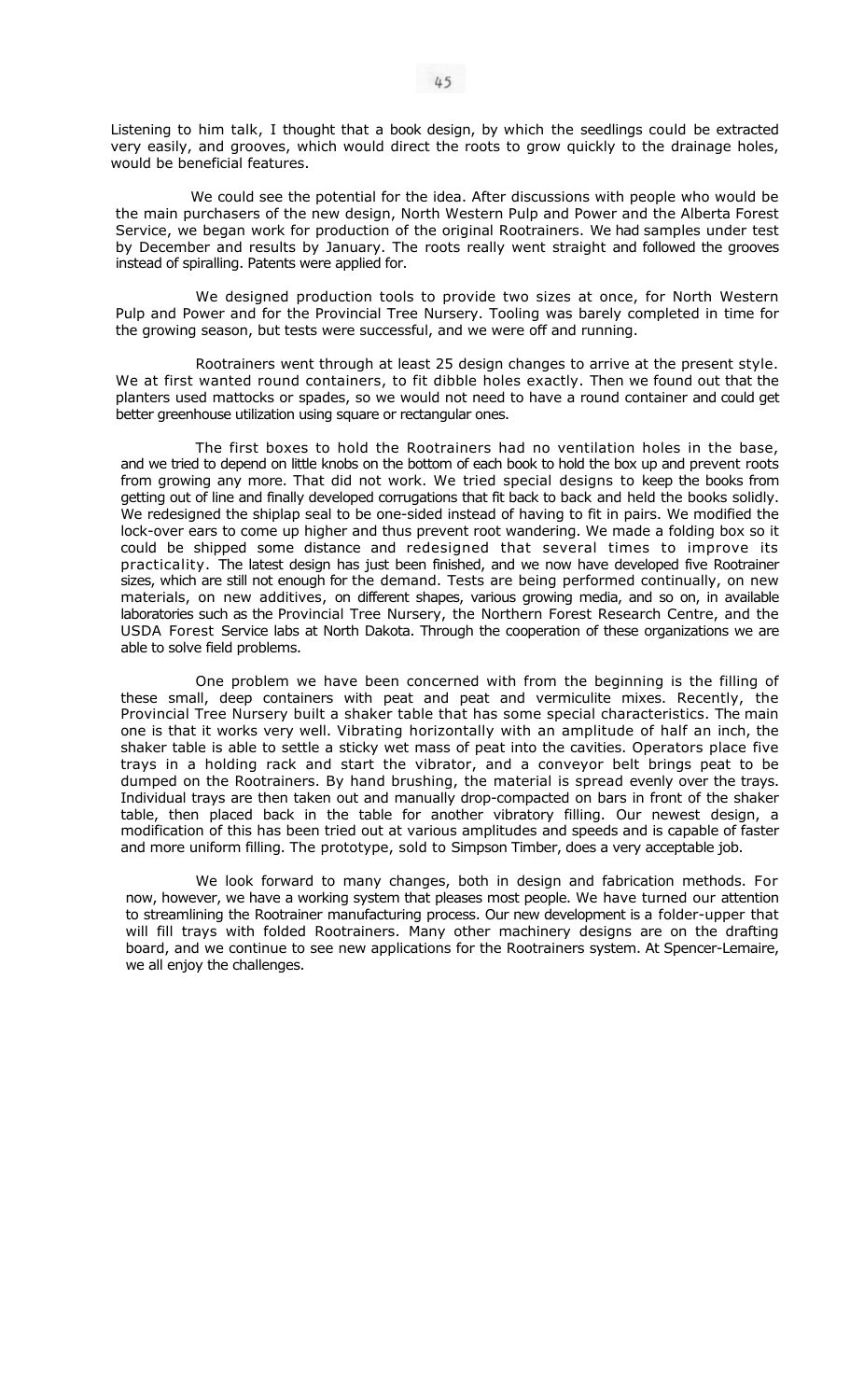Listening to him talk, I thought that a book design, by which the seedlings could be extracted very easily, and grooves, which would direct the roots to grow quickly to the drainage holes, would be beneficial features.

We could see the potential for the idea. After discussions with people who would be the main purchasers of the new design, North Western Pulp and Power and the Alberta Forest Service, we began work for production of the original Rootrainers. We had samples under test by December and results by January. The roots really went straight and followed the grooves instead of spiralling. Patents were applied for.

We designed production tools to provide two sizes at once, for North Western Pulp and Power and for the Provincial Tree Nursery. Tooling was barely completed in time for the growing season, but tests were successful, and we were off and running.

Rootrainers went through at least 25 design changes to arrive at the present style. We at first wanted round containers, to fit dibble holes exactly. Then we found out that the planters used mattocks or spades, so we would not need to have a round container and could get better greenhouse utilization using square or rectangular ones.

The first boxes to hold the Rootrainers had no ventilation holes in the base, and we tried to depend on little knobs on the bottom of each book to hold the box up and prevent roots from growing any more. That did not work. We tried special designs to keep the books from getting out of line and finally developed corrugations that fit back to back and held the books solidly. We redesigned the shiplap seal to be one-sided instead of having to fit in pairs. We modified the lock-over ears to come up higher and thus prevent root wandering. We made a folding box so it could be shipped some distance and redesigned that several times to improve its practicality. The latest design has just been finished, and we now have developed five Rootrainer sizes, which are still not enough for the demand. Tests are being performed continually, on new materials, on new additives, on different shapes, various growing media, and so on, in available laboratories such as the Provincial Tree Nursery, the Northern Forest Research Centre, and the USDA Forest Service labs at North Dakota. Through the cooperation of these organizations we are able to solve field problems.

One problem we have been concerned with from the beginning is the filling of these small, deep containers with peat and peat and vermiculite mixes. Recently, the Provincial Tree Nursery built a shaker table that has some special characteristics. The main one is that it works very well. Vibrating horizontally with an amplitude of half an inch, the shaker table is able to settle a sticky wet mass of peat into the cavities. Operators place five trays in a holding rack and start the vibrator, and a conveyor belt brings peat to be dumped on the Rootrainers. By hand brushing, the material is spread evenly over the trays. Individual trays are then taken out and manually drop-compacted on bars in front of the shaker table, then placed back in the table for another vibratory filling. Our newest design, a modification of this has been tried out at various amplitudes and speeds and is capable of faster and more uniform filling. The prototype, sold to Simpson Timber, does a very acceptable job.

We look forward to many changes, both in design and fabrication methods. For now, however, we have a working system that pleases most people. We have turned our attention to streamlining the Rootrainer manufacturing process. Our new development is a folder-upper that will fill trays with folded Rootrainers. Many other machinery designs are on the drafting board, and we continue to see new applications for the Rootrainers system. At Spencer-Lemaire, we all enjoy the challenges.